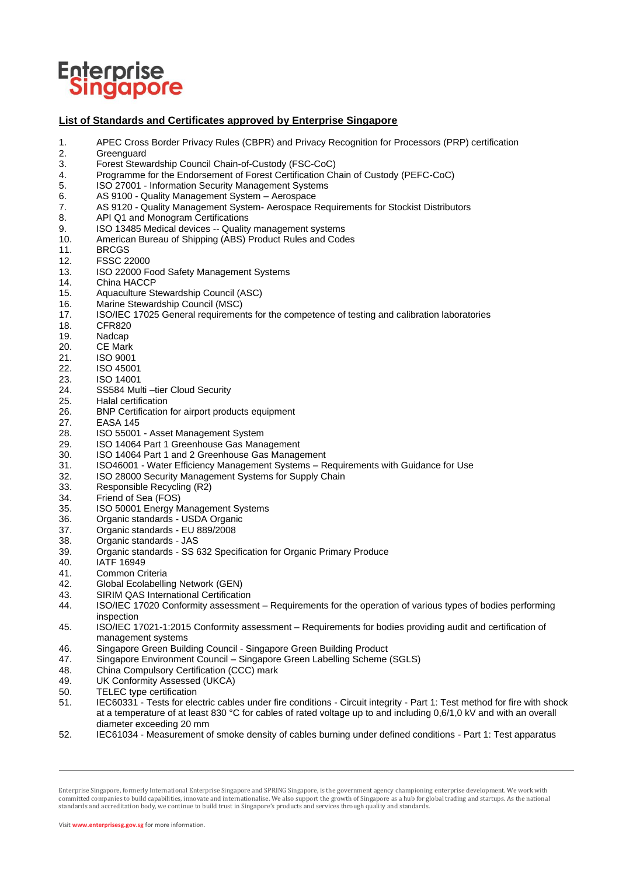

## **List of Standards and Certificates approved by Enterprise Singapore**

- 1. APEC Cross Border Privacy Rules (CBPR) and Privacy Recognition for Processors (PRP) certification
- 2. Greenguard<br>3. Forest Stew
- 3. Forest Stewardship Council Chain-of-Custody (FSC-CoC)
- 4. Programme for the Endorsement of Forest Certification Chain of Custody (PEFC-CoC)
- 5. ISO 27001 Information Security Management Systems
- 6. AS 9100 Quality Management System Aerospace
- 7. AS 9120 Quality Management System- Aerospace Requirements for Stockist Distributors
- 
- 8. API Q1 and Monogram Certifications<br>9. ISO 13485 Medical devices -- Quality
- 9. ISO 13485 Medical devices -- Quality management systems<br>10. American Bureau of Shipping (ABS) Product Rules and Code American Bureau of Shipping (ABS) Product Rules and Codes
- 11. BRCGS<br>12. FSSC 2.
- 12. FSSC 22000
- 13. ISO 22000 Food Safety Management Systems
- 
- 14. China HACCP<br>15. Aquaculture St 15. Aquaculture Stewardship Council (ASC)<br>16. Marine Stewardship Council (MSC)
- 16. Marine Stewardship Council (MSC)<br>17. ISO/IEC 17025 General requiremer
- 17. ISO/IEC 17025 General requirements for the competence of testing and calibration laboratories
- 
- 18. CFR820<br>19. Nadcap
- 19. Nadcap<br>20. CE Marl
- 20. CE Mark<br>21. ISO 9001
- 21. ISO 9001<br>22. ISO 4500 ISO 45001
- 23. ISO 14001
- 24. SS584 Multi –tier Cloud Security<br>25. Halal certification
- Halal certification
- 26. BNP Certification for airport products equipment
- 27. EASA 145
- 28. ISO 55001 Asset Management System<br>29. ISO 14064 Part 1 Greenhouse Gas Mana
- ISO 14064 Part 1 Greenhouse Gas Management
- 30. ISO 14064 Part 1 and 2 Greenhouse Gas Management
- 31. ISO46001 Water Efficiency Management Systems Requirements with Guidance for Use
- 32. ISO 28000 Security Management Systems for Supply Chain
- 33. Responsible Recycling (R2)<br>34. Friend of Sea (FOS)
- 34. Friend of Sea (FOS)<br>35. ISO 50001 Energy M
- 35. ISO 50001 Energy Management Systems<br>36. Organic standards USDA Organic
- Organic standards USDA Organic
- 37. Organic standards EU 889/2008<br>38. Organic standards JAS
- 38. Organic standards JAS<br>39. Organic standards SS 6
- 39. Organic standards SS 632 Specification for Organic Primary Produce
- IATF 16949
- 41. Common Criteria
- 42. Global Ecolabelling Network (GEN)
- 
- 43. SIRIM QAS International Certification<br>44. SO/IEC 17020 Conformity assessme ISO/IEC 17020 Conformity assessment – Requirements for the operation of various types of bodies performing inspection
- 45. ISO/IEC 17021-1:2015 Conformity assessment Requirements for bodies providing audit and certification of management systems
- 46. Singapore Green Building Council Singapore Green Building Product
- 47. Singapore Environment Council Singapore Green Labelling Scheme (SGLS)<br>48. China Compulsory Certification (CCC) mark
- China Compulsory Certification (CCC) mark
- 49. UK Conformity Assessed (UKCA)
- 50. TELEC type certification
- 51. IEC60331 Tests for electric cables under fire conditions Circuit integrity Part 1: Test method for fire with shock at a temperature of at least 830 °C for cables of rated voltage up to and including 0,6/1,0 kV and with an overall diameter exceeding 20 mm
- 52. IEC61034 Measurement of smoke density of cables burning under defined conditions Part 1: Test apparatus

Enterprise Singapore, formerly International Enterprise Singapore and SPRING Singapore, is the government agency championing enterprise development. We work with committed companies to build capabilities, innovate and internationalise. We also support the growth of Singapore as a hub for global trading and startups. As the national standards and accreditation body, we continue to build trust in Singapore's products and services through quality and standards.